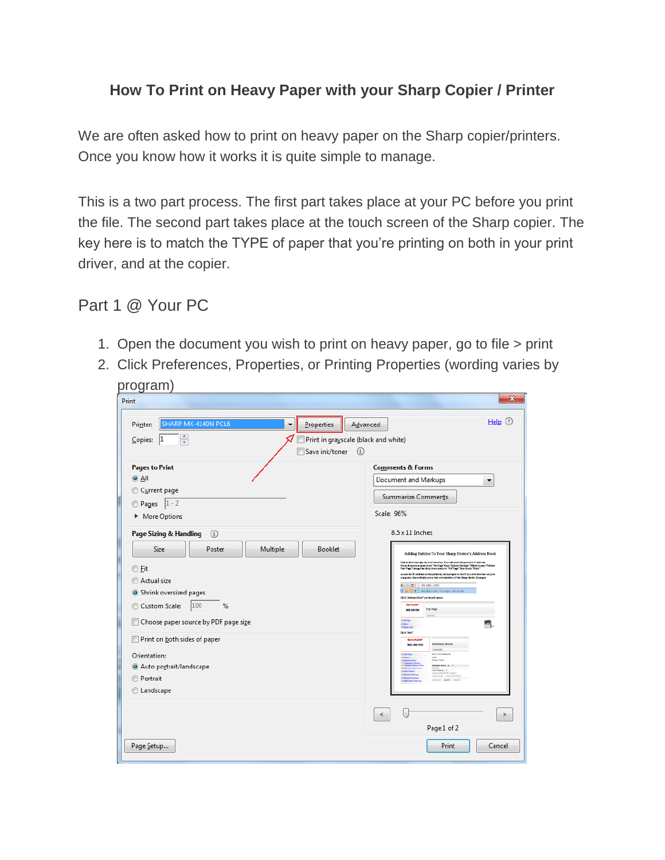## **How To Print on Heavy Paper with your Sharp Copier / Printer**

We are often asked how to print on heavy paper on the Sharp copier/printers. Once you know how it works it is quite simple to manage.

This is a two part process. The first part takes place at your PC before you print the file. The second part takes place at the touch screen of the Sharp copier. The key here is to match the TYPE of paper that you're printing on both in your print driver, and at the copier.

## Part 1 @ Your PC

- 1. Open the document you wish to print on heavy paper, go to file > print
- 2. Click Preferences, Properties, or Printing Properties (wording varies by program[\)](http://equipmybiz.com/wp-content/uploads/2015/11/Paper-Tab-Heavy-Paper1.png)

| $HeIp$ $@$<br>SHARP MX-4140N PCL6<br>Printer:<br>Advanced<br><b>Properties</b><br>▼<br>÷<br>Copies:<br>Print in grayscale (black and white)<br>11<br>Save ink/toner<br>$\odot$<br><b>Pages to Print</b><br><b>Comments &amp; Forms</b><br>$Q$ All<br><b>Document and Markups</b><br>▼<br>Current page<br><b>Summarize Comments</b><br>$1 - 2$<br><b>Pages</b><br><b>Scale: 96%</b><br>More Options<br>$8.5 \times 11$ Inches<br>Page Sizing & Handling<br>$\odot$<br>Multiple<br><b>Booklet</b><br>Size<br>Poster<br>Adding Entries To Your Sharp Device's Address Book<br>This is done through the web interface. You will need the system's 17 address.<br>From the system panel touch "Settings" then "System Settings," "Where Is says "Primer<br>Test Page" change the drop down measure "SEC Page" then t<br><b>◎ Fit</b><br>Locate the IP address on the primary, and savigate to the IP is a web browner on your computer, this will take you to the web interface of the Sharp device. Example:<br>Actual size<br>$+ 0 1193.161.150$<br>$\Box$ $\Box$ $\Box$ $\Diamond$   192.168.1.150 - Top Page - MC-3530N<br>Shrink oversized pages<br>Clair "Address Book" on the left mean<br>100<br>Custom Scale:<br>%<br><b>SHARP</b><br><b>Top Page</b><br>MX-3510N<br>Choose paper source by PDF page size<br><b>In East Free</b><br><b>Security</b><br><b>EASTER BAY</b><br><b>CRA'MA'</b><br>Print on both sides of paper<br><b>SHARP</b><br>Address Book<br><b>MX-3610N</b><br>Abbraham (B)<br>Orientation:<br><b>New to be Observed</b><br><b>ITTIE FOUR</b><br><b>Chiefre Texts</b><br>Auto portrait/landscape<br>$\overline{u}$<br><b>Portrait</b><br>C Landscape<br>×<br>> |       |              |
|--------------------------------------------------------------------------------------------------------------------------------------------------------------------------------------------------------------------------------------------------------------------------------------------------------------------------------------------------------------------------------------------------------------------------------------------------------------------------------------------------------------------------------------------------------------------------------------------------------------------------------------------------------------------------------------------------------------------------------------------------------------------------------------------------------------------------------------------------------------------------------------------------------------------------------------------------------------------------------------------------------------------------------------------------------------------------------------------------------------------------------------------------------------------------------------------------------------------------------------------------------------------------------------------------------------------------------------------------------------------------------------------------------------------------------------------------------------------------------------------------------------------------------------------------------------------------------------------------------------------------------------------------------------------------------------|-------|--------------|
|                                                                                                                                                                                                                                                                                                                                                                                                                                                                                                                                                                                                                                                                                                                                                                                                                                                                                                                                                                                                                                                                                                                                                                                                                                                                                                                                                                                                                                                                                                                                                                                                                                                                                      | Print | $\mathbf{x}$ |
|                                                                                                                                                                                                                                                                                                                                                                                                                                                                                                                                                                                                                                                                                                                                                                                                                                                                                                                                                                                                                                                                                                                                                                                                                                                                                                                                                                                                                                                                                                                                                                                                                                                                                      |       |              |
|                                                                                                                                                                                                                                                                                                                                                                                                                                                                                                                                                                                                                                                                                                                                                                                                                                                                                                                                                                                                                                                                                                                                                                                                                                                                                                                                                                                                                                                                                                                                                                                                                                                                                      |       |              |
|                                                                                                                                                                                                                                                                                                                                                                                                                                                                                                                                                                                                                                                                                                                                                                                                                                                                                                                                                                                                                                                                                                                                                                                                                                                                                                                                                                                                                                                                                                                                                                                                                                                                                      |       |              |
| Page Setup<br>Print<br>Cancel                                                                                                                                                                                                                                                                                                                                                                                                                                                                                                                                                                                                                                                                                                                                                                                                                                                                                                                                                                                                                                                                                                                                                                                                                                                                                                                                                                                                                                                                                                                                                                                                                                                        |       | Page 1 of 2  |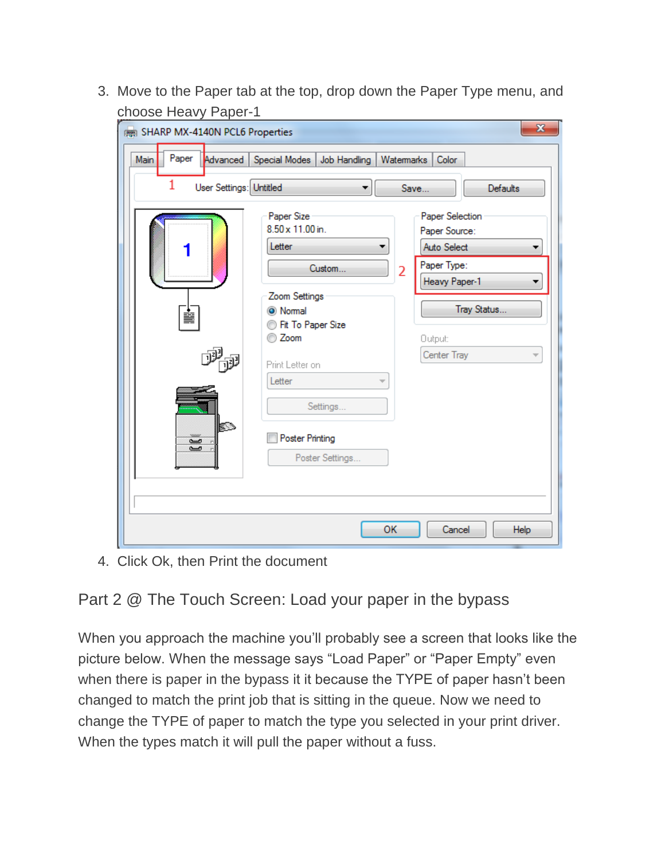3. Move to the Paper tab at the top, drop down the Paper Type menu, and choose Heavy Paper-1

| 00 : 100 : <i>y</i> : upor<br>SHARP MX-4140N PCL6 Properties |                                                                                     | $\mathbf{x}$                                                                         |  |  |  |  |
|--------------------------------------------------------------|-------------------------------------------------------------------------------------|--------------------------------------------------------------------------------------|--|--|--|--|
| Paper<br>Advanced<br>Main<br>1<br>User Settings: Untitled    | Special Modes<br>Job Handling<br>▼                                                  | Watermarks<br>Color<br><b>Defaults</b><br>Save                                       |  |  |  |  |
|                                                              | Paper Size<br>8.50 x 11.00 in.<br>Letter<br>▼<br>Custom                             | Paper Selection<br>Paper Source:<br>Auto Select<br>Paper Type:<br>2<br>Heavy Paper-1 |  |  |  |  |
| ġ<br>Þ                                                       | Zoom Settings<br>i Normal<br>Fit To Paper Size<br>Zoom<br>Print Letter on<br>Letter | Tray Status<br>Output:<br>Center Tray                                                |  |  |  |  |
| Þ<br>$\overline{\phantom{0}}$<br>ے                           | Settings<br>Poster Printing<br>Poster Settings                                      |                                                                                      |  |  |  |  |
| OK<br>Cancel<br>Help                                         |                                                                                     |                                                                                      |  |  |  |  |

4. Click Ok, then Print the document

## Part 2 @ The Touch Screen: Load your paper in the bypass

When you approach the machine you'll probably see a screen that looks like the picture below. When the message says "Load Paper" or "Paper Empty" even when there is paper in the bypass it it because the TYPE of paper hasn't been changed to match the print job that is sitting in the queue. Now we need to change the TYPE of paper to match the type you selected in your print driver. When the types match it will pull the paper without a fuss.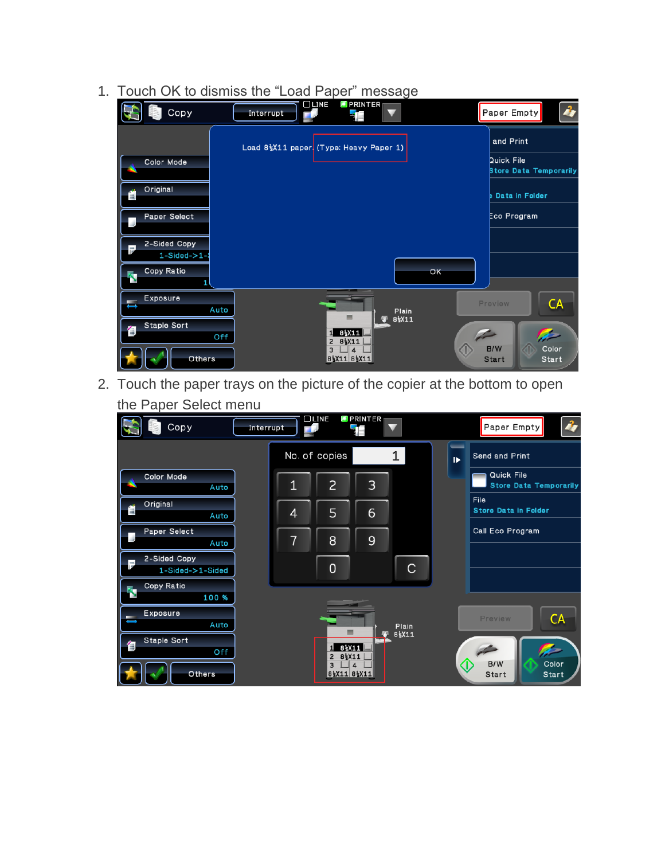1. Touch OK to dismiss the "Load Paper" message

| Copy                               | $\Box$ LINE<br>PRINTER<br>Interrupt<br>$\blacktriangledown$<br>Æ | Paper Empty                                 |
|------------------------------------|------------------------------------------------------------------|---------------------------------------------|
|                                    | Load 8 X11 paper (Type: Heavy Paper 1)                           | and Print                                   |
| <b>Color Mode</b>                  |                                                                  | Quick File<br><b>Store Data Temporarily</b> |
| Original<br>Ë                      |                                                                  | <b>Data in Folder</b>                       |
| <b>Paper Select</b>                |                                                                  | Eco Program                                 |
| 2-Sided Copy<br>晨<br>$1-Sided->1-$ |                                                                  |                                             |
| Copy Ratio<br>1                    | OK                                                               |                                             |
| Exposure<br>Auto                   | Plain<br>▬                                                       | CA<br>Preview                               |
| Staple Sort<br>訇<br>Off            | 8\X11<br>8%X11<br>1<br>8 X 11<br>$\overline{2}$                  | 子                                           |
| <b>Others</b>                      | 3<br>4<br>8 X11 8 X11                                            | B/W<br>Color<br>O<br>Start<br><b>Start</b>  |

2. Touch the paper trays on the picture of the copier at the bottom to open the Paper Select menu

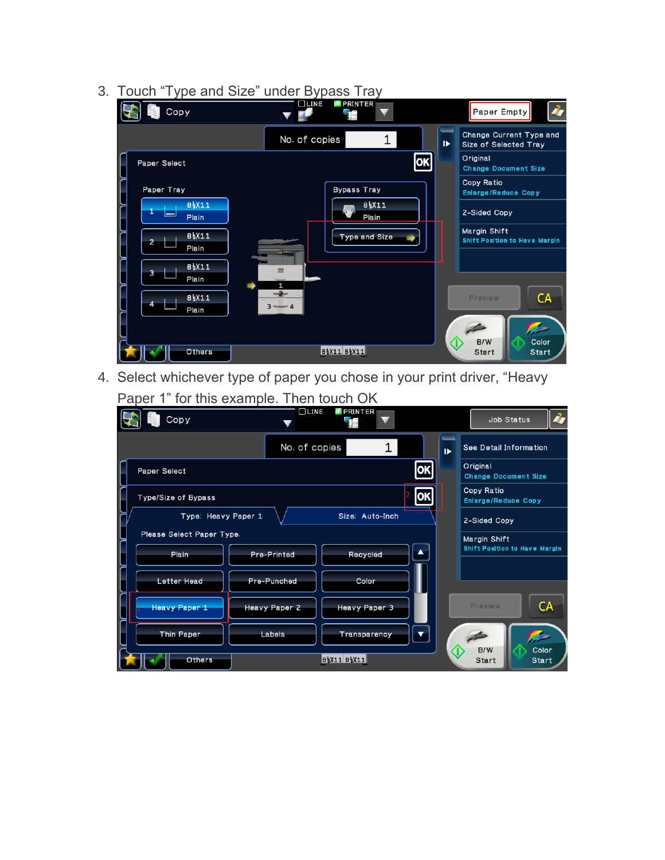3. Touch "Type and Size" under Bypass Tray



4. Select whichever type of paper you chose in your print driver, "Heavy Paper 1" for this example. Then touch OK

| Copy                      |                    | $\Box$ LINE          |  | PRINTER<br>$\blacktriangledown$ |                         |                               |                                          | Job Status |    |  |
|---------------------------|--------------------|----------------------|--|---------------------------------|-------------------------|-------------------------------|------------------------------------------|------------|----|--|
|                           | 1<br>No. of copies |                      |  |                                 | $\mathbf{D}$            | <b>See Detail Information</b> |                                          |            |    |  |
| Paper Select              |                    |                      |  |                                 | <b>OK</b>               |                               | Original<br><b>Change Document Size</b>  |            |    |  |
| Type/Size of Bypass       |                    |                      |  |                                 | <b>OK</b>               |                               | Copy Ratio<br><b>Enlarge/Reduce Copy</b> |            |    |  |
| Type: Heavy Paper 1       |                    |                      |  | Size: Auto-Inch                 |                         |                               | 2-Sided Copy                             |            |    |  |
| Please Select Paper Type. |                    |                      |  |                                 |                         |                               | Margin Shift                             |            |    |  |
| <b>Plain</b>              |                    | <b>Pre-Printed</b>   |  | Recycled                        |                         |                               | <b>Shift Position to Have Margin</b>     |            |    |  |
| <b>Letter Head</b>        |                    | <b>Pre-Punched</b>   |  | Color                           |                         |                               |                                          |            |    |  |
| <b>Heavy Paper 1</b>      |                    | <b>Heavy Paper 2</b> |  | Heavy Paper 3                   |                         |                               | Preview                                  |            | CA |  |
| <b>Thin Paper</b>         |                    | <b>Labels</b>        |  | Transparency                    | $\overline{\mathbf{v}}$ |                               |                                          |            |    |  |
| <b>Others</b>             | 8 X11 8 X11        |                      |  |                                 |                         | B/W<br><b>Start</b>           | Color<br><b>Start</b>                    |            |    |  |